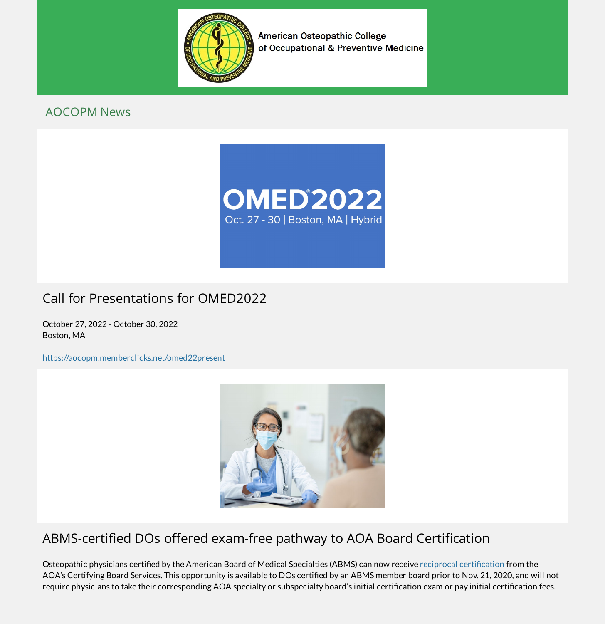

American Osteopathic College of Occupational & Preventive Medicine

#### AOCOPM News



# Call for Presentations for OMED2022

October 27, 2022 - October 30, 2022 Boston, MA

<https://aocopm.memberclicks.net/omed22present>



### ABMS-certified DOs offered exam-free pathway to AOA Board Certification

Osteopathic physicians certified by the American Board of Medical Specialties (ABMS) can now receive reciprocal certification from the AOA's Certifying Board Services. This opportunity is available to DOs certified by an ABMS member board prior to Nov. 21, 2020, and will not require physicians to take their corresponding AOA specialty or subspecialty board's initial certification exam or pay initial certification fees.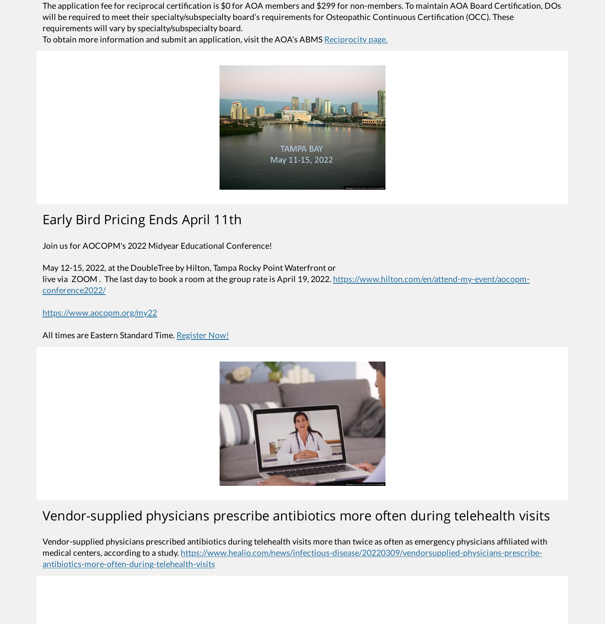The application fee for reciprocal certification is \$0 for AOA members and \$299 for non-members. To maintain AOA Board Certification, DOs will be required to meet their specialty/subspecialty board's requirements for Osteopathic Continuous Certification (OCC). These requirements will vary by specialty/subspecialty board.

To obtain more information and submit an application, visit the AOA's ABMS [Reciprocity](https://certification.osteopathic.org/abms-reciprocity/) page.



## Early Bird Pricing Ends April 11th

Join us for AOCOPM's 2022 Midyear Educational Conference!

May 12-15, 2022, at the DoubleTree by Hilton, Tampa Rocky Point Waterfront or

live via ZOOM. The last day to book a room at the group rate is April 19, 2022. [https://www.hilton.com/en/attend-my-event/aocopm](https://www.hilton.com/en/attend-my-event/aocopm-conference2022/)conference2022/

<https://www.aocopm.org/my22>

All times are Eastern Standard Time. [Register](https://aocopm.memberclicks.net/index.php?option=com_mcform&view=ngforms&id=2105944) Now!



# Vendor-supplied physicians prescribe antibiotics more often during telehealth visits

Vendor-supplied physicians prescribed antibiotics during telehealth visits more than twice as often as emergency physicians afliated with medical centers, according to a study. [https://www.healio.com/news/infectious-disease/20220309/vendorsupplied-physicians-prescribe](https://www.healio.com/news/infectious-disease/20220309/vendorsupplied-physicians-prescribe-antibiotics-more-often-during-telehealth-visits)antibiotics-more-often-during-telehealth-visits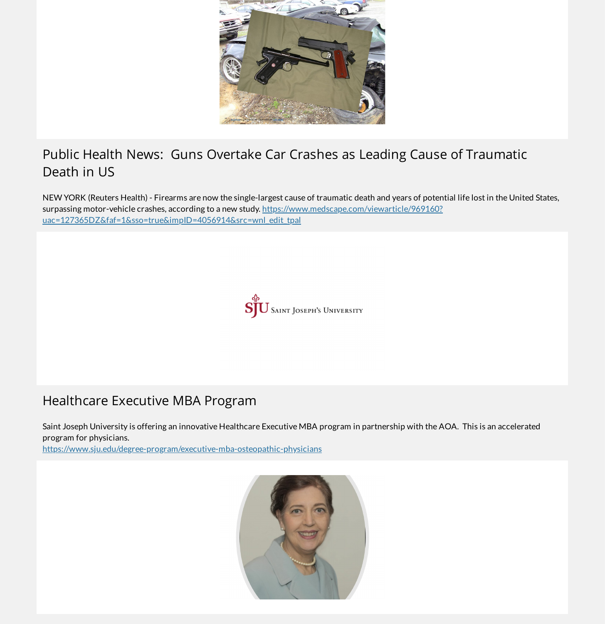![](_page_2_Picture_0.jpeg)

## Public Health News: Guns Overtake Car Crashes as Leading Cause of Traumatic Death in US

NEW YORK (Reuters Health) - Firearms are now the single-largest cause of traumatic death and years of potential life lost in the United States, surpassing motor-vehicle crashes, according to a new study. https://www.medscape.com/viewarticle/969160? [uac=127365DZ&faf=1&sso=true&impID=4056914&src=wnl\\_edit\\_tpal](https://www.medscape.com/viewarticle/969160?uac=127365DZ&faf=1&sso=true&impID=4056914&src=wnl_edit_tpal)

![](_page_2_Picture_3.jpeg)

## Healthcare Executive MBA Program

Saint Joseph University is offering an innovative Healthcare Executive MBA program in partnership with the AOA. This is an accelerated program for physicians.

<https://www.sju.edu/degree-program/executive-mba-osteopathic-physicians>

![](_page_2_Picture_7.jpeg)